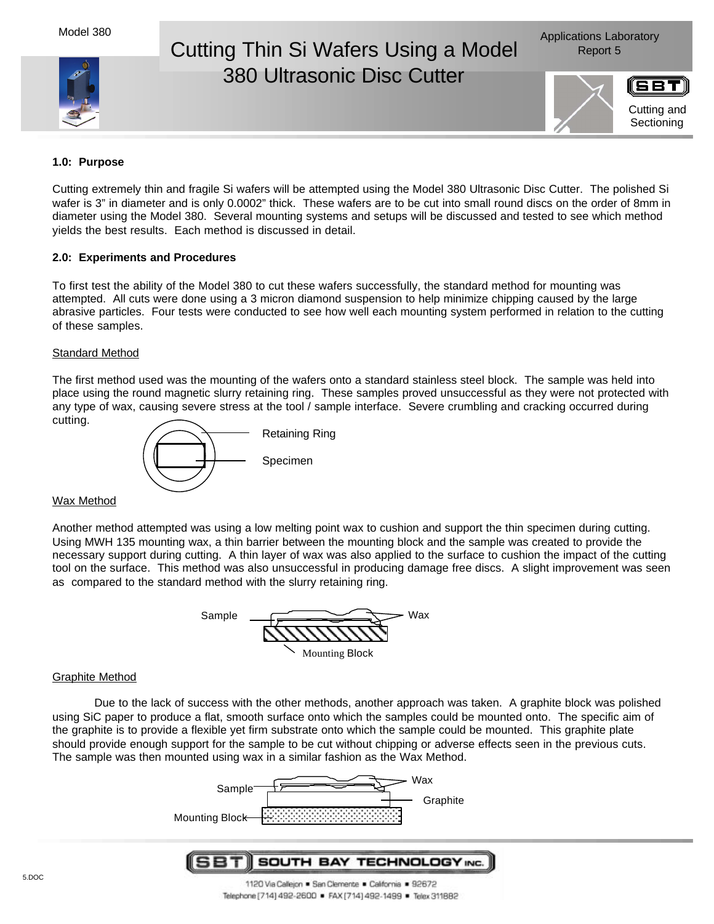# Cutting Thin Si Wafers Using a Model Report 5 380 Ultrasonic Disc Cutter





**1.0: Purpose**

Cutting extremely thin and fragile Si wafers will be attempted using the Model 380 Ultrasonic Disc Cutter. The polished Si wafer is 3" in diameter and is only 0.0002" thick. These wafers are to be cut into small round discs on the order of 8mm in diameter using the Model 380. Several mounting systems and setups will be discussed and tested to see which method yields the best results. Each method is discussed in detail.

## **2.0: Experiments and Procedures**

To first test the ability of the Model 380 to cut these wafers successfully, the standard method for mounting was attempted. All cuts were done using a 3 micron diamond suspension to help minimize chipping caused by the large abrasive particles. Four tests were conducted to see how well each mounting system performed in relation to the cutting of these samples.

## **Standard Method**

The first method used was the mounting of the wafers onto a standard stainless steel block. The sample was held into place using the round magnetic slurry retaining ring. These samples proved unsuccessful as they were not protected with any type of wax, causing severe stress at the tool / sample interface. Severe crumbling and cracking occurred during cutting.



#### Wax Method

Another method attempted was using a low melting point wax to cushion and support the thin specimen during cutting. Using MWH 135 mounting wax, a thin barrier between the mounting block and the sample was created to provide the necessary support during cutting. A thin layer of wax was also applied to the surface to cushion the impact of the cutting tool on the surface. This method was also unsuccessful in producing damage free discs. A slight improvement was seen as compared to the standard method with the slurry retaining ring.

| Sample | Wax |
|--------|-----|
|        |     |
|        |     |

Mounting Block

# Graphite Method

Due to the lack of success with the other methods, another approach was taken. A graphite block was polished using SiC paper to produce a flat, smooth surface onto which the samples could be mounted onto. The specific aim of the graphite is to provide a flexible yet firm substrate onto which the sample could be mounted. This graphite plate should provide enough support for the sample to be cut without chipping or adverse effects seen in the previous cuts. The sample was then mounted using wax in a similar fashion as the Wax Method.